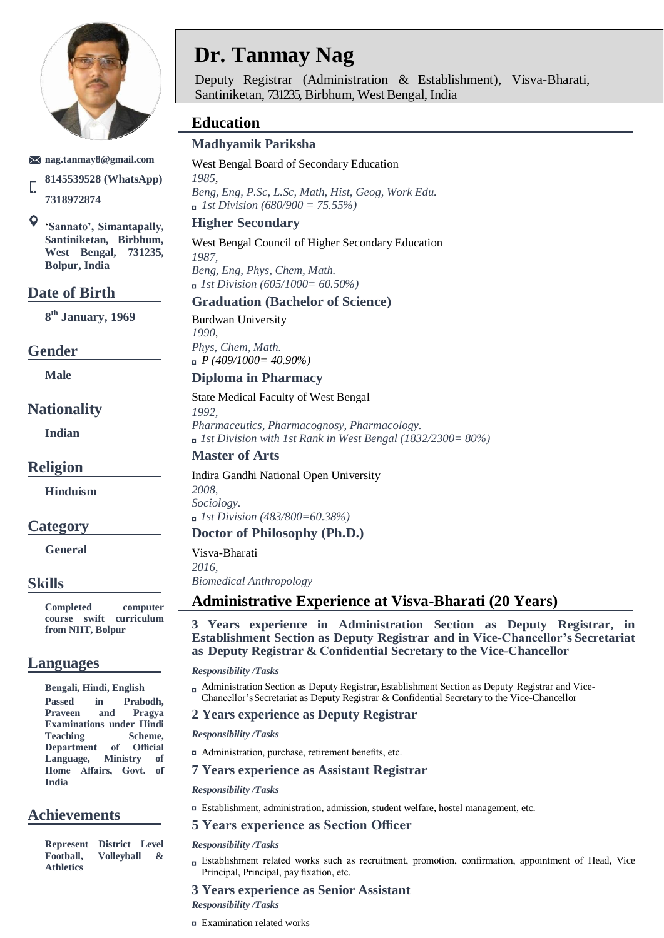

#### **[nag.tanmay8@gmail.com](mailto:nag.tanmay8@gmail.com)**

**8145539528 (WhatsApp)**  $\Box$ **7318972874**

 $\mathsf{o}$ '**Sannato', Simantapally, Santiniketan, Birbhum, West Bengal, 731235, Bolpur, India**

#### **Date of Birth**

**8 th January, 1969**

#### **Gender**

**Male**

**Nationality**

**Indian**

#### **Religion**

**Hinduism**

#### **Category**

**General**

#### **Skills**

**Completed computer course swift curriculum from NIIT, Bolpur**

### **Languages**

**Bengali, Hindi, English Passed in Prabodh, Praveen and Pragya Examinations under Hindi**  Teaching Scheme, **Department of Official Language, Ministry of Home Affairs, Govt. of India**

### **Achievements**

**Represent District Level Football, Volleyball & Athletics**

# **Dr. Tanmay Nag**

Deputy Registrar (Administration & Establishment), Visva-Bharati, Santiniketan, 731235, Birbhum, West Bengal, India

# **Education**

#### **Madhyamik Pariksha**

West Bengal Board of Secondary Education *1985*, *Beng, Eng, P.Sc, L.Sc, Math, Hist, Geog, Work Edu. 1st Division (680/900 = 75.55%)*

#### **Higher Secondary**

West Bengal Council of Higher Secondary Education *1987, Beng, Eng, Phys, Chem, Math. 1st Division (605/1000= 60.50%)*

#### **Graduation (Bachelor of Science)**

Burdwan University *1990*, *Phys, Chem, Math. P (409/1000= 40.90%)*

#### **Diploma in Pharmacy**

#### State Medical Faculty of West Bengal

*1992, Pharmaceutics, Pharmacognosy, Pharmacology. 1st Division with 1st Rank in West Bengal (1832/2300= 80%)*

#### **Master of Arts**

Indira Gandhi National Open University *2008, Sociology. 1st Division (483/800=60.38%)*

#### **Doctor of Philosophy (Ph.D.)**

Visva-Bharati

*2016, Biomedical Anthropology*

## **Administrative Experience at Visva-Bharati (20 Years)**

**3 Years experience in Administration Section as Deputy Registrar, in Establishment Section as Deputy Registrar and in Vice-Chancellor's Secretariat as Deputy Registrar & Confidential Secretary to the Vice-Chancellor**

#### *Responsibility /Tasks*

Administration Section as Deputy Registrar, Establishment Section as Deputy Registrar and Vice-Chancellor'sSecretariat as Deputy Registrar & Confidential Secretary to the Vice-Chancellor

#### **2 Years experience as Deputy Registrar**

#### *Responsibility /Tasks*

Administration, purchase, retirement benefits, etc.

#### **7 Years experience as Assistant Registrar**

#### *Responsibility /Tasks*

Establishment, administration, admission, student welfare, hostel management, etc.

#### **5 Years experience as Section Officer**

#### *Responsibility /Tasks*

Establishment related works such as recruitment, promotion, confirmation, appointment of Head, Vice Principal, Principal, pay fixation, etc.

#### **3 Years experience as Senior Assistant**

#### *Responsibility /Tasks*

Examination related works